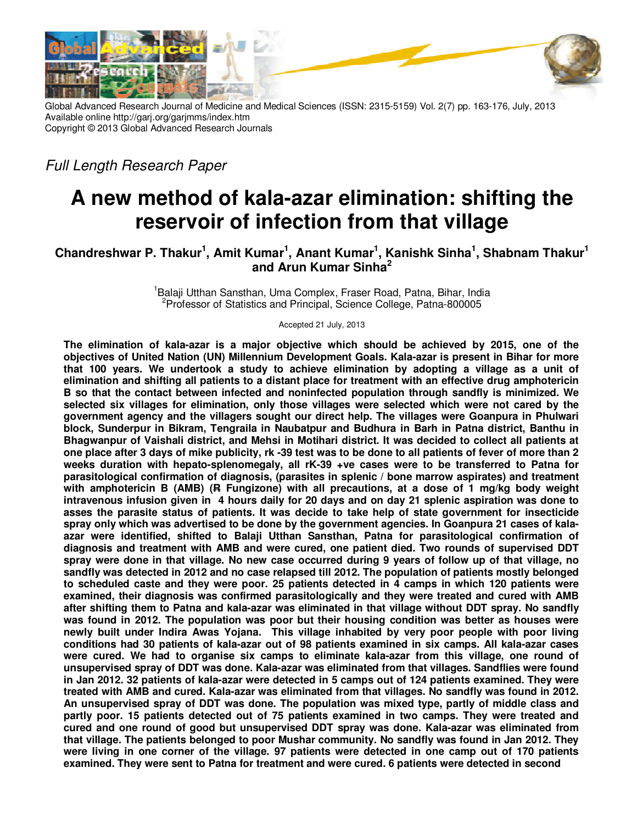

Global Advanced Research Journal of Medicine and Medical Sciences (ISSN: 2315-5159) Vol. 2(7) pp. 163-176, July, 2013 Available online http://garj.org/garjmms/index.htm Copyright © 2013 Global Advanced Research Journals

*Full Length Research Paper*

# **A new method of kala-azar elimination: shifting the reservoir of infection from that village**

## **Chandreshwar P. Thakur<sup>1</sup> , Amit Kumar<sup>1</sup> , Anant Kumar<sup>1</sup> , Kanishk Sinha<sup>1</sup> , Shabnam Thakur<sup>1</sup> and Arun Kumar Sinha<sup>2</sup>**

<sup>1</sup>Balaji Utthan Sansthan, Uma Complex, Fraser Road, Patna, Bihar, India <sup>2</sup>Professor of Statistics and Principal, Science College, Patna-800005

Accepted 21 July, 2013

**The elimination of kala-azar is a major objective which should be achieved by 2015, one of the objectives of United Nation (UN) Millennium Development Goals. Kala-azar is present in Bihar for more that 100 years. We undertook a study to achieve elimination by adopting a village as a unit of elimination and shifting all patients to a distant place for treatment with an effective drug amphotericin B so that the contact between infected and noninfected population through sandfly is minimized. We selected six villages for elimination, only those villages were selected which were not cared by the government agency and the villagers sought our direct help. The villages were Goanpura in Phulwari block, Sunderpur in Bikram, Tengraila in Naubatpur and Budhura in Barh in Patna district, Banthu in Bhagwanpur of Vaishali district, and Mehsi in Motihari district. It was decided to collect all patients at one place after 3 days of mike publicity, rk -39 test was to be done to all patients of fever of more than 2 weeks duration with hepato-splenomegaly, all rK-39 +ve cases were to be transferred to Patna for parasitological confirmation of diagnosis, (parasites in splenic / bone marrow aspirates) and treatment with amphotericin B (AMB) (R Fungizone) with all precautions, at a dose of 1 mg/kg body weight intravenous infusion given in 4 hours daily for 20 days and on day 21 splenic aspiration was done to asses the parasite status of patients. It was decide to take help of state government for insecticide spray only which was advertised to be done by the government agencies. In Goanpura 21 cases of kalaazar were identified, shifted to Balaji Utthan Sansthan, Patna for parasitological confirmation of diagnosis and treatment with AMB and were cured, one patient died. Two rounds of supervised DDT spray were done in that village. No new case occurred during 9 years of follow up of that village, no sandfly was detected in 2012 and no case relapsed till 2012. The population of patients mostly belonged to scheduled caste and they were poor. 25 patients detected in 4 camps in which 120 patients were examined, their diagnosis was confirmed parasitologically and they were treated and cured with AMB after shifting them to Patna and kala-azar was eliminated in that village without DDT spray. No sandfly was found in 2012. The population was poor but their housing condition was better as houses were newly built under Indira Awas Yojana. This village inhabited by very poor people with poor living conditions had 30 patients of kala-azar out of 98 patients examined in six camps. All kala-azar cases were cured. We had to organise six camps to eliminate kala-azar from this village, one round of unsupervised spray of DDT was done. Kala-azar was eliminated from that villages. Sandflies were found in Jan 2012. 32 patients of kala-azar were detected in 5 camps out of 124 patients examined. They were treated with AMB and cured. Kala-azar was eliminated from that villages. No sandfly was found in 2012. An unsupervised spray of DDT was done. The population was mixed type, partly of middle class and partly poor. 15 patients detected out of 75 patients examined in two camps. They were treated and cured and one round of good but unsupervised DDT spray was done. Kala-azar was eliminated from that village. The patients belonged to poor Mushar community. No sandfly was found in Jan 2012. They were living in one corner of the village. 97 patients were detected in one camp out of 170 patients examined. They were sent to Patna for treatment and were cured. 6 patients were detected in second**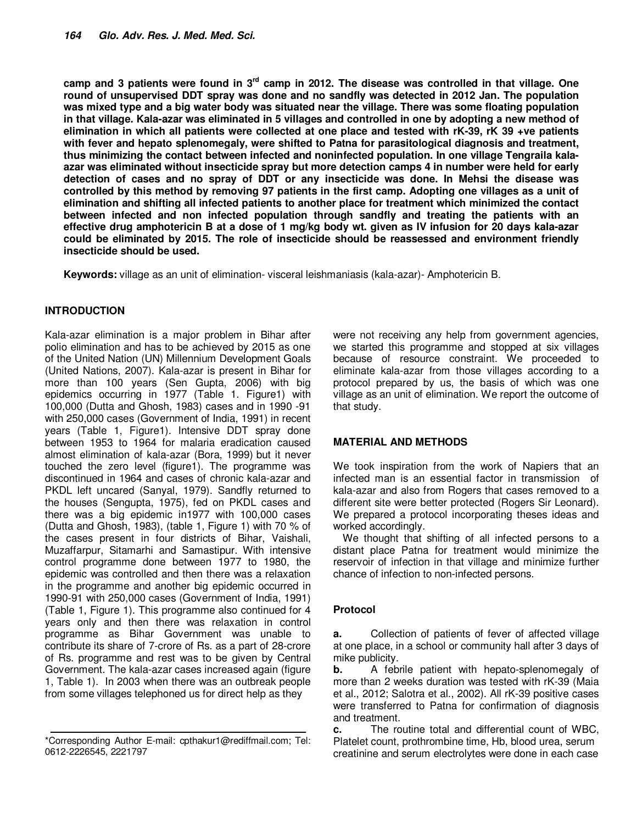**camp and 3 patients were found in 3rd camp in 2012. The disease was controlled in that village. One round of unsupervised DDT spray was done and no sandfly was detected in 2012 Jan. The population was mixed type and a big water body was situated near the village. There was some floating population in that village. Kala-azar was eliminated in 5 villages and controlled in one by adopting a new method of elimination in which all patients were collected at one place and tested with rK-39, rK 39 +ve patients with fever and hepato splenomegaly, were shifted to Patna for parasitological diagnosis and treatment, thus minimizing the contact between infected and noninfected population. In one village Tengraila kalaazar was eliminated without insecticide spray but more detection camps 4 in number were held for early detection of cases and no spray of DDT or any insecticide was done. In Mehsi the disease was controlled by this method by removing 97 patients in the first camp. Adopting one villages as a unit of elimination and shifting all infected patients to another place for treatment which minimized the contact between infected and non infected population through sandfly and treating the patients with an effective drug amphotericin B at a dose of 1 mg/kg body wt. given as IV infusion for 20 days kala-azar could be eliminated by 2015. The role of insecticide should be reassessed and environment friendly insecticide should be used.** 

**Keywords:** village as an unit of elimination- visceral leishmaniasis (kala-azar)- Amphotericin B.

## **INTRODUCTION**

Kala-azar elimination is a major problem in Bihar after polio elimination and has to be achieved by 2015 as one of the United Nation (UN) Millennium Development Goals (United Nations, 2007). Kala-azar is present in Bihar for more than 100 years (Sen Gupta, 2006) with big epidemics occurring in 1977 (Table 1. Figure1) with 100,000 (Dutta and Ghosh, 1983) cases and in 1990 -91 with 250,000 cases (Government of India, 1991) in recent years (Table 1, Figure1). Intensive DDT spray done between 1953 to 1964 for malaria eradication caused almost elimination of kala-azar (Bora, 1999) but it never touched the zero level (figure1). The programme was discontinued in 1964 and cases of chronic kala-azar and PKDL left uncared (Sanyal, 1979). Sandfly returned to the houses (Sengupta, 1975), fed on PKDL cases and there was a big epidemic in1977 with 100,000 cases (Dutta and Ghosh, 1983), (table 1, Figure 1) with 70 % of the cases present in four districts of Bihar, Vaishali, Muzaffarpur, Sitamarhi and Samastipur. With intensive control programme done between 1977 to 1980, the epidemic was controlled and then there was a relaxation in the programme and another big epidemic occurred in 1990-91 with 250,000 cases (Government of India, 1991) (Table 1, Figure 1). This programme also continued for 4 years only and then there was relaxation in control programme as Bihar Government was unable to contribute its share of 7-crore of Rs. as a part of 28-crore of Rs. programme and rest was to be given by Central Government. The kala-azar cases increased again (figure 1, Table 1). In 2003 when there was an outbreak people from some villages telephoned us for direct help as they

were not receiving any help from government agencies, we started this programme and stopped at six villages because of resource constraint. We proceeded to eliminate kala-azar from those villages according to a protocol prepared by us, the basis of which was one village as an unit of elimination. We report the outcome of that study.

## **MATERIAL AND METHODS**

We took inspiration from the work of Napiers that an infected man is an essential factor in transmission of kala-azar and also from Rogers that cases removed to a different site were better protected (Rogers Sir Leonard). We prepared a protocol incorporating theses ideas and worked accordingly.

We thought that shifting of all infected persons to a distant place Patna for treatment would minimize the reservoir of infection in that village and minimize further chance of infection to non-infected persons.

## **Protocol**

**a.** Collection of patients of fever of affected village at one place, in a school or community hall after 3 days of mike publicity.

**b.** A febrile patient with hepato-splenomegaly of more than 2 weeks duration was tested with rK-39 (Maia et al., 2012; Salotra et al., 2002). All rK-39 positive cases were transferred to Patna for confirmation of diagnosis and treatment.

**c.** The routine total and differential count of WBC, Platelet count, prothrombine time, Hb, blood urea, serum creatinine and serum electrolytes were done in each case

<sup>\*</sup>Corresponding Author E-mail: cpthakur1@rediffmail.com; Tel: 0612-2226545, 2221797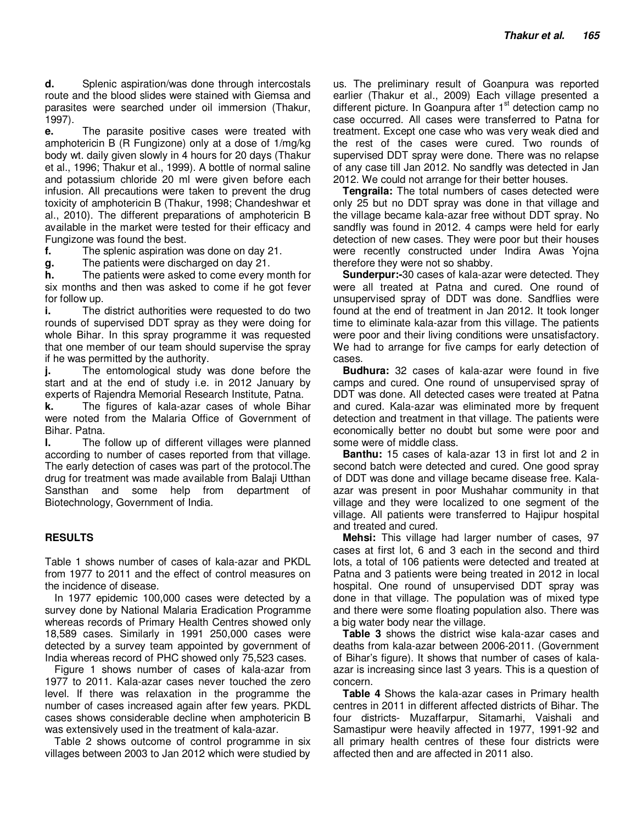**d.** Splenic aspiration/was done through intercostals route and the blood slides were stained with Giemsa and parasites were searched under oil immersion (Thakur, 1997).

**e.** The parasite positive cases were treated with amphotericin B (R Fungizone) only at a dose of 1/mg/kg body wt. daily given slowly in 4 hours for 20 days (Thakur et al., 1996; Thakur et al., 1999). A bottle of normal saline and potassium chloride 20 ml were given before each infusion. All precautions were taken to prevent the drug toxicity of amphotericin B (Thakur, 1998; Chandeshwar et al., 2010). The different preparations of amphotericin B available in the market were tested for their efficacy and Fungizone was found the best.

**f.** The splenic aspiration was done on day 21.

**g.** The patients were discharged on day 21.

**h.** The patients were asked to come every month for six months and then was asked to come if he got fever for follow up.

**i.** The district authorities were requested to do two rounds of supervised DDT spray as they were doing for whole Bihar. In this spray programme it was requested that one member of our team should supervise the spray if he was permitted by the authority.

**j.** The entomological study was done before the start and at the end of study i.e. in 2012 January by experts of Rajendra Memorial Research Institute, Patna.

**k.** The figures of kala-azar cases of whole Bihar were noted from the Malaria Office of Government of Bihar. Patna.

**l.** The follow up of different villages were planned according to number of cases reported from that village. The early detection of cases was part of the protocol.The drug for treatment was made available from Balaji Utthan Sansthan and some help from department of Biotechnology, Government of India.

## **RESULTS**

Table 1 shows number of cases of kala-azar and PKDL from 1977 to 2011 and the effect of control measures on the incidence of disease.

In 1977 epidemic 100,000 cases were detected by a survey done by National Malaria Eradication Programme whereas records of Primary Health Centres showed only 18,589 cases. Similarly in 1991 250,000 cases were detected by a survey team appointed by government of India whereas record of PHC showed only 75,523 cases.

Figure 1 shows number of cases of kala-azar from 1977 to 2011. Kala-azar cases never touched the zero level. If there was relaxation in the programme the number of cases increased again after few years. PKDL cases shows considerable decline when amphotericin B was extensively used in the treatment of kala-azar.

Table 2 shows outcome of control programme in six villages between 2003 to Jan 2012 which were studied by

us. The preliminary result of Goanpura was reported earlier (Thakur et al., 2009) Each village presented a different picture. In Goanpura after 1<sup>st</sup> detection camp no case occurred. All cases were transferred to Patna for treatment. Except one case who was very weak died and the rest of the cases were cured. Two rounds of supervised DDT spray were done. There was no relapse of any case till Jan 2012. No sandfly was detected in Jan 2012. We could not arrange for their better houses.

**Tengraila:** The total numbers of cases detected were only 25 but no DDT spray was done in that village and the village became kala-azar free without DDT spray. No sandfly was found in 2012. 4 camps were held for early detection of new cases. They were poor but their houses were recently constructed under Indira Awas Yojna therefore they were not so shabby.

**Sunderpur:-**30 cases of kala-azar were detected. They were all treated at Patna and cured. One round of unsupervised spray of DDT was done. Sandflies were found at the end of treatment in Jan 2012. It took longer time to eliminate kala-azar from this village. The patients were poor and their living conditions were unsatisfactory. We had to arrange for five camps for early detection of cases.

**Budhura:** 32 cases of kala-azar were found in five camps and cured. One round of unsupervised spray of DDT was done. All detected cases were treated at Patna and cured. Kala-azar was eliminated more by frequent detection and treatment in that village. The patients were economically better no doubt but some were poor and some were of middle class.

**Banthu:** 15 cases of kala-azar 13 in first lot and 2 in second batch were detected and cured. One good spray of DDT was done and village became disease free. Kalaazar was present in poor Mushahar community in that village and they were localized to one segment of the village. All patients were transferred to Hajipur hospital and treated and cured.

**Mehsi:** This village had larger number of cases, 97 cases at first lot, 6 and 3 each in the second and third lots, a total of 106 patients were detected and treated at Patna and 3 patients were being treated in 2012 in local hospital. One round of unsupervised DDT spray was done in that village. The population was of mixed type and there were some floating population also. There was a big water body near the village.

**Table 3** shows the district wise kala-azar cases and deaths from kala-azar between 2006-2011. (Government of Bihar's figure). It shows that number of cases of kalaazar is increasing since last 3 years. This is a question of concern.

**Table 4** Shows the kala-azar cases in Primary health centres in 2011 in different affected districts of Bihar. The four districts- Muzaffarpur, Sitamarhi, Vaishali and Samastipur were heavily affected in 1977, 1991-92 and all primary health centres of these four districts were affected then and are affected in 2011 also.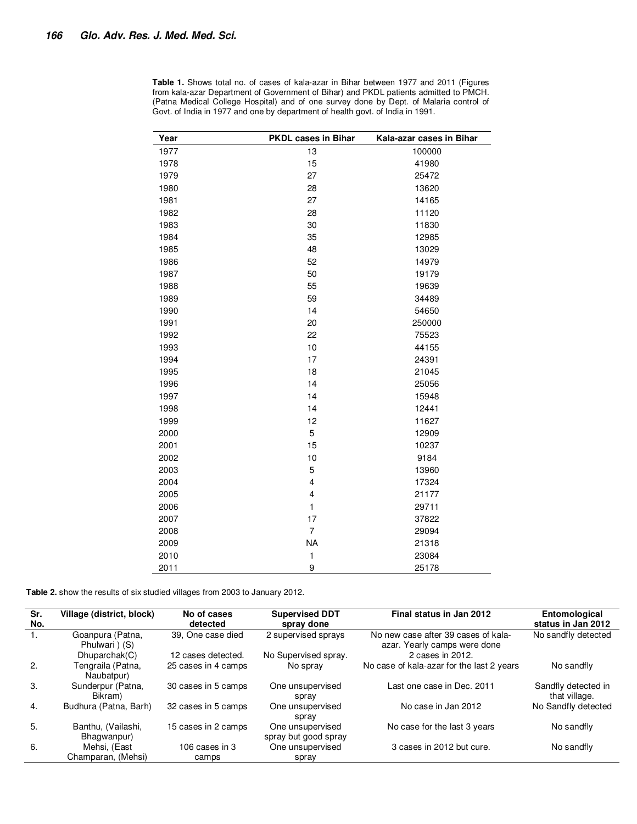| Year | PKDL cases in Bihar     | Kala-azar cases in Bihar |
|------|-------------------------|--------------------------|
| 1977 | 13                      | 100000                   |
| 1978 | 15                      | 41980                    |
| 1979 | 27                      | 25472                    |
| 1980 | 28                      | 13620                    |
| 1981 | 27                      | 14165                    |
| 1982 | 28                      | 11120                    |
| 1983 | 30                      | 11830                    |
| 1984 | 35                      | 12985                    |
| 1985 | 48                      | 13029                    |
| 1986 | 52                      | 14979                    |
| 1987 | 50                      | 19179                    |
| 1988 | 55                      | 19639                    |
| 1989 | 59                      | 34489                    |
| 1990 | 14                      | 54650                    |
| 1991 | 20                      | 250000                   |
| 1992 | 22                      | 75523                    |
| 1993 | 10                      | 44155                    |
| 1994 | 17                      | 24391                    |
| 1995 | 18                      | 21045                    |
| 1996 | 14                      | 25056                    |
| 1997 | 14                      | 15948                    |
| 1998 | 14                      | 12441                    |
| 1999 | 12                      | 11627                    |
| 2000 | 5                       | 12909                    |
| 2001 | 15                      | 10237                    |
| 2002 | 10                      | 9184                     |
| 2003 | 5                       | 13960                    |
| 2004 | $\overline{\mathbf{4}}$ | 17324                    |
| 2005 | $\overline{\mathbf{4}}$ | 21177                    |
| 2006 | $\mathbf{1}$            | 29711                    |
| 2007 | 17                      | 37822                    |
| 2008 | $\overline{7}$          | 29094                    |
| 2009 | <b>NA</b>               | 21318                    |
| 2010 | $\mathbf{1}$            | 23084                    |
| 2011 | 9                       | 25178                    |

**Table 1.** Shows total no. of cases of kala-azar in Bihar between 1977 and 2011 (Figures from kala-azar Department of Government of Bihar) and PKDL patients admitted to PMCH. (Patna Medical College Hospital) and of one survey done by Dept. of Malaria control of Govt. of India in 1977 and one by department of health govt. of India in 1991.

**Table 2.** show the results of six studied villages from 2003 to January 2012.

| Sr.<br>No. | Village (district, block)          | No of cases<br>detected | <b>Supervised DDT</b><br>spray done      | Final status in Jan 2012                                            | Entomological<br>status in Jan 2012  |
|------------|------------------------------------|-------------------------|------------------------------------------|---------------------------------------------------------------------|--------------------------------------|
|            |                                    |                         |                                          |                                                                     |                                      |
| -1.        | Goanpura (Patna,<br>Phulwari ) (S) | 39. One case died       | 2 supervised sprays                      | No new case after 39 cases of kala-<br>azar. Yearly camps were done | No sandfly detected                  |
|            | Dhuparchak(C)                      | 12 cases detected.      | No Supervised spray.                     | 2 cases in 2012.                                                    |                                      |
| 2.         | Tengraila (Patna.<br>Naubatpur)    | 25 cases in 4 camps     | No spray                                 | No case of kala-azar for the last 2 years                           | No sandfly                           |
| 3.         | Sunderpur (Patna,<br>Bikram)       | 30 cases in 5 camps     | One unsupervised<br>spray                | Last one case in Dec. 2011                                          | Sandfly detected in<br>that village. |
| 4.         | Budhura (Patna, Barh)              | 32 cases in 5 camps     | One unsupervised<br>spray                | No case in Jan 2012                                                 | No Sandfly detected                  |
| 5.         | Banthu. (Vailashi.<br>Bhagwanpur)  | 15 cases in 2 camps     | One unsupervised<br>spray but good spray | No case for the last 3 years                                        | No sandfly                           |
| 6.         | Mehsi, (East                       | 106 cases in $3$        | One unsupervised                         | 3 cases in 2012 but cure.                                           | No sandfly                           |
|            | Champaran, (Mehsi)                 | camps                   | spray                                    |                                                                     |                                      |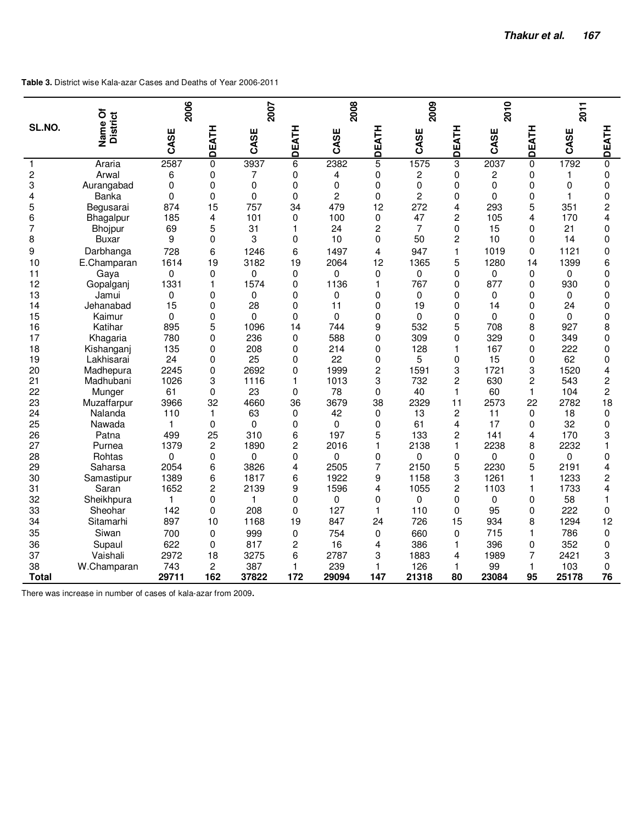**Table 3.** District wise Kala-azar Cases and Deaths of Year 2006-2011

|                | δ                       | 2006     |                |          | 2007         |                |                | 2009           |                | 2010     |                | 2011     |                         |
|----------------|-------------------------|----------|----------------|----------|--------------|----------------|----------------|----------------|----------------|----------|----------------|----------|-------------------------|
| SL.NO.         | <b>District</b><br>Name | CASE     | DEATH          | CASE     | DEATH        | CASE           | DEATH          | CASE           | DEATH          | CASE     | DEATH          | CASE     | <b>DEATH</b>            |
| $\mathbf{1}$   | Araria                  | 2587     | 0              | 3937     | 6            | 2382           | 5              | 1575           | 3              | 2037     | 0              | 1792     | 0                       |
| $\overline{c}$ | Arwal                   | 6        | $\mathbf{0}$   | 7        | $\mathbf{0}$ | 4              | 0              | 2              | $\Omega$       | 2        | 0              | 1        | $\mathbf{0}$            |
| 3              | Aurangabad              | 0        | 0              | 0        | 0            | 0              | 0              | $\mathbf 0$    | 0              | 0        | 0              | 0        | $\mathbf 0$             |
| 4              | <b>Banka</b>            | 0        | $\Omega$       | 0        | 0            | $\overline{c}$ | 0              | 2              | 0              | $\Omega$ | 0              | 1        | $\mathbf 0$             |
| 5              | Begusarai               | 874      | 15             | 757      | 34           | 479            | 12             | 272            | 4              | 293      | 5              | 351      | $\overline{c}$          |
| 6              | Bhagalpur               | 185      | 4              | 101      | $\mathbf{0}$ | 100            | 0              | 47             | $\overline{c}$ | 105      | 4              | 170      | 4                       |
| 7              | <b>Bhojpur</b>          | 69       | 5              | 31       | 1            | 24             | $\overline{c}$ | $\overline{7}$ | 0              | 15       | 0              | 21       | 0                       |
| 8              | Buxar                   | 9        | $\mathbf{0}$   | 3        | $\mathbf{0}$ | 10             | 0              | 50             | $\overline{c}$ | 10       | 0              | 14       | 0                       |
| 9              | Darbhanga               | 728      | 6              | 1246     | 6            | 1497           | 4              | 947            | $\mathbf{1}$   | 1019     | 0              | 1121     | 0                       |
| 10             | E.Champaran             | 1614     | 19             | 3182     | 19           | 2064           | 12             | 1365           | 5              | 1280     | 14             | 1399     | 6                       |
| 11             | Gava                    | 0        | $\mathbf{0}$   | 0        | 0            | 0              | 0              | 0              | $\Omega$       | 0        | 0              | 0        | $\mathbf{0}$            |
| 12             | Gopalganj               | 1331     | 1              | 1574     | 0            | 1136           | $\mathbf{1}$   | 767            | 0              | 877      | 0              | 930      | 0                       |
| 13             | Jamui                   | 0        | 0              | 0        | 0            | 0              | 0              | 0              | 0              | 0        | 0              | $\Omega$ | 0                       |
| 14             | Jehanabad               | 15       | 0              | 28       | 0            | 11             | 0              | 19             | 0              | 14       | 0              | 24       | $\mathbf 0$             |
| 15             | Kaimur                  | 0        | 0              | $\Omega$ | $\mathbf{0}$ | $\Omega$       | 0              | $\Omega$       | 0              | $\Omega$ | 0              | $\Omega$ | $\mathbf 0$             |
| 16             | Katihar                 | 895      | 5              | 1096     | 14           | 744            | 9              | 532            | 5              | 708      | 8              | 927      | 8                       |
| 17             | Khagaria                | 780      | $\mathsf 0$    | 236      | 0            | 588            | 0              | 309            | 0              | 329      | 0              | 349      | 0                       |
| 18             | Kishanganj              | 135      | 0              | 208      | 0            | 214            | 0              | 128            | $\mathbf{1}$   | 167      | $\overline{0}$ | 222      | 0                       |
| 19             | Lakhisarai              | 24       | 0              | 25       | 0            | 22             | 0              | 5              | 0              | 15       | 0              | 62       | $\mathbf{0}$            |
| 20             | Madhepura               | 2245     | 0              | 2692     | 0            | 1999           | $\overline{c}$ | 1591           | 3              | 1721     | 3              | 1520     | 4                       |
| 21             | Madhubani               | 1026     | 3              | 1116     | 1            | 1013           | 3              | 732            | 2              | 630      | 2              | 543      | $\overline{\mathbf{c}}$ |
| 22             | Munger                  | 61       | $\mathbf{0}$   | 23       | 0            | 78             | 0              | 40             | $\mathbf{1}$   | 60       | $\mathbf{1}$   | 104      | $\overline{c}$          |
| 23             | Muzaffarpur             | 3966     | 32             | 4660     | 36           | 3679           | 38             | 2329           | 11             | 2573     | 22             | 2782     | 18                      |
| 24             | Nalanda                 | 110      | $\mathbf{1}$   | 63       | 0            | 42             | 0              | 13             | $\overline{c}$ | 11       | 0              | 18       | $\mathbf 0$             |
| 25             | Nawada                  | 1        | 0              | 0        | 0            | 0              | 0              | 61             | 4              | 17       | 0              | 32       | 0                       |
| 26             | Patna                   | 499      | 25             | 310      | 6            | 197            | 5              | 133            | $\overline{c}$ | 141      | 4              | 170      | 3                       |
| 27             | Purnea                  | 1379     | $\overline{c}$ | 1890     | 2            | 2016           | 1              | 2138           | $\mathbf{1}$   | 2238     | 8              | 2232     | 1                       |
| 28             | Rohtas                  | $\Omega$ | 0              | 0        | 0            | 0              | 0              | $\Omega$       | 0              | $\Omega$ | 0              | 0        | 0                       |
| 29             | Saharsa                 | 2054     | 6              | 3826     | 4            | 2505           | 7              | 2150           | 5              | 2230     | 5              | 2191     | 4                       |
| 30             | Samastipur              | 1389     | 6              | 1817     | 6            | 1922           | 9              | 1158           | 3              | 1261     | 1              | 1233     | $\overline{c}$          |
| 31             | Saran                   | 1652     | $\overline{c}$ | 2139     | 9            | 1596           | 4              | 1055           | $\overline{c}$ | 1103     | 1              | 1733     | 4                       |
| 32             | Sheikhpura              | 1        | 0              | 1        | 0            | 0              | 0              | $\mathbf 0$    | 0              | 0        | 0              | 58       | 1                       |
| 33             | Sheohar                 | 142      | $\Omega$       | 208      | 0            | 127            | $\mathbf{1}$   | 110            | $\overline{0}$ | 95       | $\overline{0}$ | 222      | $\Omega$                |
| 34             | Sitamarhi               | 897      | 10             | 1168     | 19           | 847            | 24             | 726            | 15             | 934      | 8              | 1294     | 12                      |
| 35             | Siwan                   | 700      | $\mathbf 0$    | 999      | 0            | 754            | 0              | 660            | 0              | 715      | 1              | 786      | $\Omega$                |
| 36             | Supaul                  | 622      | $\mathbf{0}$   | 817      | 2            | 16             | 4              | 386            | $\mathbf{1}$   | 396      | 0              | 352      | $\Omega$                |
| 37             | Vaishali                | 2972     | 18             | 3275     | 6            | 2787           | 3              | 1883           | 4              | 1989     | $\overline{7}$ | 2421     | 3                       |
| 38             | W.Champaran             | 743      | $\overline{c}$ | 387      | 1            | 239            | 1              | 126            | $\mathbf{1}$   | 99       | $\mathbf{1}$   | 103      | 0                       |
| <b>Total</b>   |                         | 29711    | 162            | 37822    | 172          | 29094          | 147            | 21318          | 80             | 23084    | 95             | 25178    | 76                      |

There was increase in number of cases of kala-azar from 2009**.**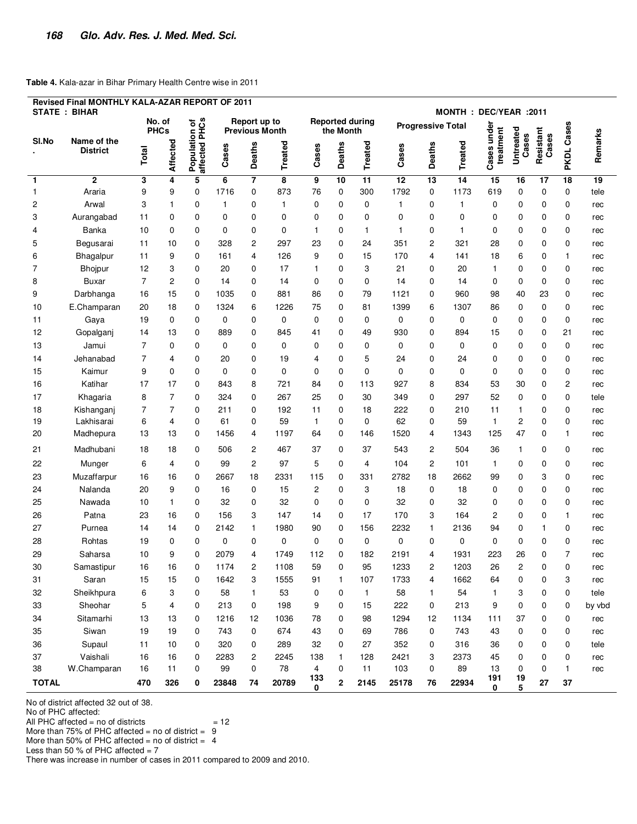#### **Table 4.** Kala-azar in Bihar Primary Health Centre wise in 2011

| Revised Final MONTHLY KALA-AZAR REPORT OF 2011<br><b>STATE: BIHAR</b><br>MONTH: DEC/YEAR: 2011 |                                |                |                       |                                |       |                                       |         |                |              |                        |                          |                |                 |                          |                    |                    |                   |         |
|------------------------------------------------------------------------------------------------|--------------------------------|----------------|-----------------------|--------------------------------|-------|---------------------------------------|---------|----------------|--------------|------------------------|--------------------------|----------------|-----------------|--------------------------|--------------------|--------------------|-------------------|---------|
|                                                                                                |                                |                | No. of<br><b>PHCs</b> |                                |       | Report up to<br><b>Previous Month</b> |         |                | the Month    | <b>Reported during</b> | <b>Progressive Total</b> |                |                 |                          |                    |                    |                   |         |
| SI.No                                                                                          | Name of the<br><b>District</b> | Total          | <b>Affected</b>       | Population of<br>affected PHCs | Cases | Deaths                                | Treated | Cases          | Deaths       | Treated                | Cases                    | <b>Deaths</b>  | <b>Treated</b>  | Cases under<br>treatment | Untreated<br>Cases | Resistant<br>Cases | <b>PKDL Cases</b> | Remarks |
| $\mathbf{1}$                                                                                   | $\overline{2}$                 | 3              | 4                     | 5                              | 6     | $\overline{7}$                        | 8       | 9              | 10           | 11                     | 12                       | 13             | $\overline{14}$ | 15                       | 16                 | 17                 | 18                | 19      |
| $\mathbf{1}$                                                                                   | Araria                         | 9              | 9                     | 0                              | 1716  | 0                                     | 873     | 76             | 0            | 300                    | 1792                     | 0              | 1173            | 619                      | $\mathbf 0$        | $\mathbf 0$        | 0                 | tele    |
| 2                                                                                              | Arwal                          | 3              | 1                     | 0                              | 1     | 0                                     | 1       | 0              | 0            | 0                      | 1                        | 0              | 1               | 0                        | 0                  | 0                  | 0                 | rec     |
| 3                                                                                              | Aurangabad                     | 11             | 0                     | 0                              | 0     | 0                                     | 0       | 0              | 0            | 0                      | 0                        | 0              | 0               | 0                        | 0                  | 0                  | 0                 | rec     |
| 4                                                                                              | Banka                          | 10             | 0                     | 0                              | 0     | 0                                     | 0       | 1              | 0            | 1                      | 1                        | 0              | 1               | 0                        | 0                  | 0                  | 0                 | rec     |
| 5                                                                                              | Begusarai                      | 11             | 10                    | 0                              | 328   | $\overline{c}$                        | 297     | 23             | 0            | 24                     | 351                      | $\overline{c}$ | 321             | 28                       | 0                  | 0                  | 0                 | rec     |
| 6                                                                                              | Bhagalpur                      | 11             | 9                     | 0                              | 161   | 4                                     | 126     | 9              | 0            | 15                     | 170                      | 4              | 141             | 18                       | 6                  | 0                  | $\mathbf{1}$      | rec     |
| 7                                                                                              | Bhojpur                        | 12             | 3                     | 0                              | 20    | 0                                     | 17      | 1              | 0            | 3                      | 21                       | 0              | 20              | 1                        | 0                  | 0                  | 0                 | rec     |
| 8                                                                                              | Buxar                          | $\overline{7}$ | $\overline{c}$        | 0                              | 14    | 0                                     | 14      | 0              | 0            | 0                      | 14                       | 0              | 14              | 0                        | 0                  | 0                  | 0                 | rec     |
| 9                                                                                              | Darbhanga                      | 16             | 15                    | 0                              | 1035  | 0                                     | 881     | 86             | 0            | 79                     | 1121                     | 0              | 960             | 98                       | 40                 | 23                 | 0                 | rec     |
| 10                                                                                             | E.Champaran                    | 20             | 18                    | 0                              | 1324  | 6                                     | 1226    | 75             | 0            | 81                     | 1399                     | 6              | 1307            | 86                       | 0                  | 0                  | 0                 | rec     |
| 11                                                                                             | Gaya                           | 19             | 0                     | 0                              | 0     | 0                                     | 0       | 0              | 0            | 0                      | 0                        | 0              | 0               | 0                        | 0                  | 0                  | 0                 | rec     |
| 12                                                                                             | Gopalganj                      | 14             | 13                    | 0                              | 889   | 0                                     | 845     | 41             | 0            | 49                     | 930                      | 0              | 894             | 15                       | 0                  | 0                  | 21                | rec     |
| 13                                                                                             | Jamui                          | 7              | 0                     | 0                              | 0     | 0                                     | 0       | 0              | 0            | 0                      | 0                        | 0              | 0               | 0                        | 0                  | 0                  | 0                 | rec     |
| 14                                                                                             | Jehanabad                      | 7              | 4                     | 0                              | 20    | 0                                     | 19      | 4              | 0            | 5                      | 24                       | 0              | 24              | 0                        | 0                  | 0                  | 0                 | rec     |
| 15                                                                                             | Kaimur                         | 9              | 0                     | 0                              | 0     | 0                                     | 0       | 0              | 0            | 0                      | 0                        | 0              | 0               | 0                        | 0                  | 0                  | 0                 | rec     |
| 16                                                                                             | Katihar                        | 17             | 17                    | 0                              | 843   | 8                                     | 721     | 84             | 0            | 113                    | 927                      | 8              | 834             | 53                       | 30                 | 0                  | 2                 | rec     |
| 17                                                                                             | Khagaria                       | 8              | 7                     | 0                              | 324   | 0                                     | 267     | 25             | $\mathbf 0$  | 30                     | 349                      | 0              | 297             | 52                       | $\mathbf 0$        | $\mathbf 0$        | 0                 | tele    |
| 18                                                                                             | Kishanganj                     | 7              | $\overline{7}$        | 0                              | 211   | 0                                     | 192     | 11             | 0            | 18                     | 222                      | 0              | 210             | 11                       | $\mathbf{1}$       | 0                  | 0                 | rec     |
| 19                                                                                             | Lakhisarai                     | 6              | 4                     | 0                              | 61    | 0                                     | 59      | $\mathbf{1}$   | $\mathbf 0$  | 0                      | 62                       | 0              | 59              | $\mathbf{1}$             | 2                  | 0                  | 0                 | rec     |
| 20                                                                                             | Madhepura                      | 13             | 13                    | 0                              | 1456  | 4                                     | 1197    | 64             | 0            | 146                    | 1520                     | 4              | 1343            | 125                      | 47                 | 0                  | 1                 | rec     |
| 21                                                                                             | Madhubani                      | 18             | 18                    | 0                              | 506   | $\overline{c}$                        | 467     | 37             | 0            | 37                     | 543                      | 2              | 504             | 36                       | $\mathbf{1}$       | 0                  | 0                 | rec     |
| 22                                                                                             | Munger                         | 6              | 4                     | 0                              | 99    | $\overline{c}$                        | 97      | 5              | 0            | 4                      | 104                      | $\overline{c}$ | 101             | $\mathbf{1}$             | 0                  | 0                  | 0                 | rec     |
| 23                                                                                             | Muzaffarpur                    | 16             | 16                    | 0                              | 2667  | 18                                    | 2331    | 115            | 0            | 331                    | 2782                     | 18             | 2662            | 99                       | 0                  | 3                  | 0                 | rec     |
| 24                                                                                             | Nalanda                        | 20             | 9                     | 0                              | 16    | 0                                     | 15      | 2              | 0            | 3                      | 18                       | 0              | 18              | 0                        | 0                  | 0                  | 0                 | rec     |
| 25                                                                                             | Nawada                         | 10             | 1                     | 0                              | 32    | 0                                     | 32      | 0              | 0            | 0                      | 32                       | 0              | 32              | 0                        | 0                  | 0                  | 0                 | rec     |
| 26                                                                                             | Patna                          | 23             | 16                    | 0                              | 156   | 3                                     | 147     | 14             | 0            | 17                     | 170                      | 3              | 164             | 2                        | $\mathbf 0$        | 0                  | 1                 | rec     |
| 27                                                                                             | Purnea                         | 14             | 14                    | 0                              | 2142  | $\mathbf{1}$                          | 1980    | 90             | 0            | 156                    | 2232                     | $\mathbf{1}$   | 2136            | 94                       | 0                  | 1                  | 0                 | rec     |
| 28                                                                                             | Rohtas                         | 19             | 0                     | 0                              | 0     | 0                                     | 0       | 0              | 0            | 0                      | 0                        | 0              | 0               | 0                        | 0                  | 0                  | 0                 | rec     |
| 29                                                                                             | Saharsa                        | 10             | 9                     | 0                              | 2079  | 4                                     | 1749    | 112            | 0            | 182                    | 2191                     | 4              | 1931            | 223                      | 26                 | 0                  | 7                 | rec     |
| 30                                                                                             | Samastipur                     | 16             | 16                    | 0                              | 1174  | 2                                     | 1108    | 59             | 0            | 95                     | 1233                     | 2              | 1203            | 26                       | 2                  | 0                  | 0                 | rec     |
| 31                                                                                             | Saran                          | 15             | 15                    | 0                              | 1642  | 3                                     | 1555    | 91             | $\mathbf{1}$ | 107                    | 1733                     | 4              | 1662            | 64                       | 0                  | $\mathbf 0$        | 3                 | rec     |
| 32                                                                                             | Sheikhpura                     | 6              | 3                     | 0                              | 58    | $\mathbf{1}$                          | 53      | 0              | 0            | $\mathbf{1}$           | 58                       | $\mathbf{1}$   | 54              | $\mathbf{1}$             | 3                  | 0                  | 0                 | tele    |
| 33                                                                                             | Sheohar                        | 5              | 4                     | 0                              | 213   | 0                                     | 198     | 9              | 0            | 15                     | 222                      | 0              | 213             | 9                        | $\mathbf 0$        | 0                  | 0                 | by vbd  |
| 34                                                                                             | Sitamarhi                      | 13             | 13                    | 0                              | 1216  | 12                                    | 1036    | 78             | 0            | 98                     | 1294                     | 12             | 1134            | 111                      | 37                 | 0                  | 0                 | rec     |
| 35                                                                                             | Siwan                          | 19             | 19                    | 0                              | 743   | 0                                     | 674     | 43             | 0            | 69                     | 786                      | 0              | 743             | 43                       | $\mathbf 0$        | 0                  | 0                 | rec     |
| 36                                                                                             | Supaul                         | 11             | 10                    | 0                              | 320   | 0                                     | 289     | 32             | 0            | 27                     | 352                      | 0              | 316             | 36                       | 0                  | 0                  | 0                 | tele    |
| 37                                                                                             | Vaishali                       | 16             | 16                    | 0                              | 2283  | $\overline{c}$                        | 2245    | 138            | $\mathbf{1}$ | 128                    | 2421                     | 3              | 2373            | 45                       | 0                  | 0                  | 0                 | rec     |
| 38                                                                                             | W.Champaran                    | 16             | 11                    | 0                              | 99    | 0                                     | 78      | $\overline{4}$ | $\mathbf 0$  | 11                     | 103                      | 0              | 89              | 13                       | $\mathbf 0$        | 0                  | $\mathbf{1}$      | rec     |
| <b>TOTAL</b>                                                                                   |                                | 470            | 326                   | 0                              | 23848 | 74                                    | 20789   | 133<br>0       | $\mathbf{2}$ | 2145                   | 25178                    | 76             | 22934           | 191<br>0                 | 19<br>5            | 27                 | 37                |         |

No of district affected 32 out of 38.

No of PHC affected:

All PHC affected = no of districts  $= 12$ 

More than 75% of PHC affected = no of district =  $9$ 

More than 50% of PHC affected = no of district =  $4$ 

Less than 50 % of PHC affected  $= 7$ 

There was increase in number of cases in 2011 compared to 2009 and 2010.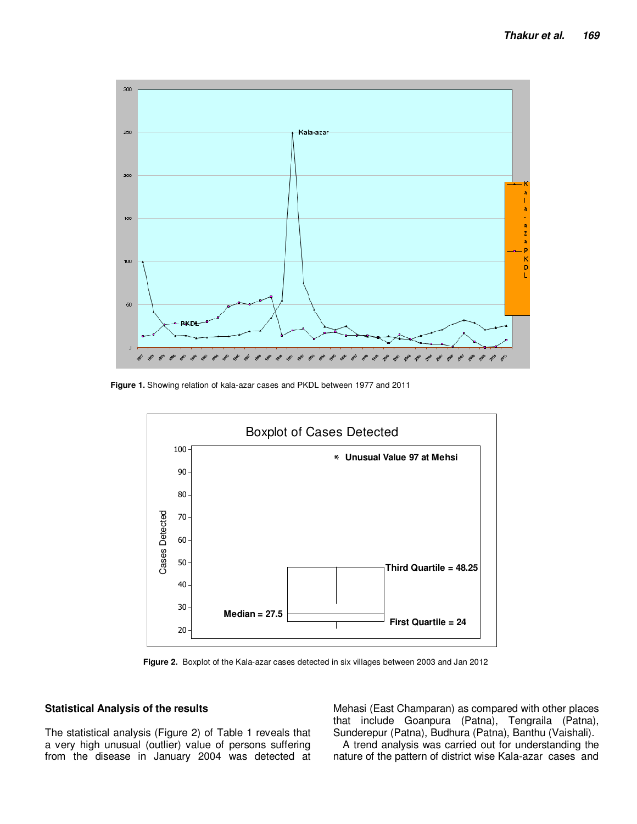

**Figure 1.** Showing relation of kala-azar cases and PKDL between 1977 and 2011



**Figure 2.** Boxplot of the Kala-azar cases detected in six villages between 2003 and Jan 2012

#### **Statistical Analysis of the results**

The statistical analysis (Figure 2) of Table 1 reveals that a very high unusual (outlier) value of persons suffering from the disease in January 2004 was detected at Mehasi (East Champaran) as compared with other places that include Goanpura (Patna), Tengraila (Patna), Sunderepur (Patna), Budhura (Patna), Banthu (Vaishali).

A trend analysis was carried out for understanding the nature of the pattern of district wise Kala-azar cases and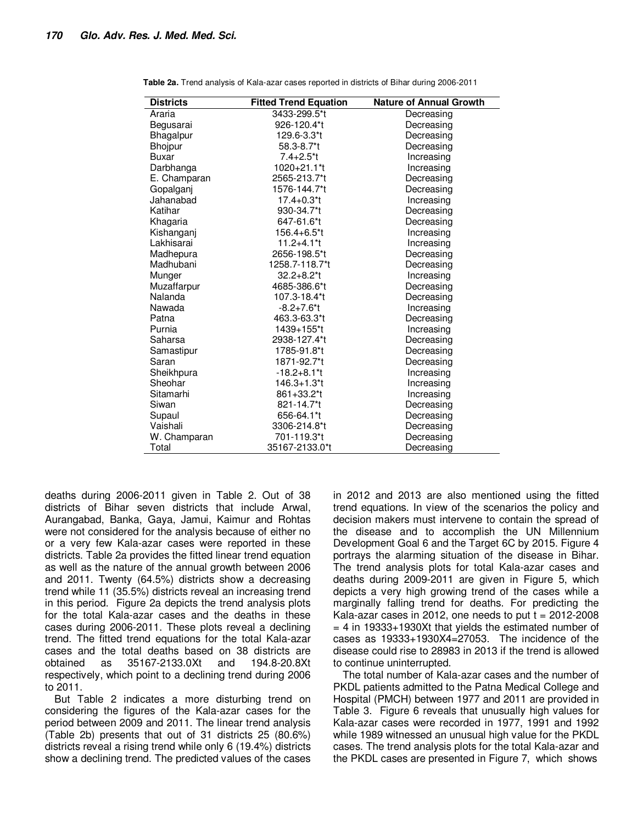| <b>Districts</b> | <b>Fitted Trend Equation</b> | <b>Nature of Annual Growth</b> |
|------------------|------------------------------|--------------------------------|
| Araria           | 3433-299.5*t                 | Decreasing                     |
| Begusarai        | 926-120.4*t                  | Decreasing                     |
| Bhagalpur        | 129.6-3.3*t                  | Decreasing                     |
| Bhojpur          | 58.3-8.7 <sup>*</sup> t      | Decreasing                     |
| <b>Buxar</b>     | $7.4 + 2.5$ <sup>*</sup> t   | Increasing                     |
| Darbhanga        | 1020+21.1*t                  | Increasing                     |
| E. Champaran     | 2565-213.7*t                 | Decreasing                     |
| Gopalganj        | 1576-144.7*t                 | Decreasing                     |
| Jahanabad        | $17.4 + 0.3$ <sup>*</sup> t  | Increasing                     |
| Katihar          | 930-34.7*t                   | Decreasing                     |
| Khagaria         | 647-61.6*t                   | Decreasing                     |
| Kishanganj       | 156.4+6.5*t                  | Increasing                     |
| Lakhisarai       | $11.2 + 4.1$ <sup>*</sup> t  | Increasing                     |
| Madhepura        | 2656-198.5*t                 | Decreasing                     |
| Madhubani        | 1258.7-118.7*t               | Decreasing                     |
| Munger           | $32.2 + 8.2$ <sup>*</sup> t  | Increasing                     |
| Muzaffarpur      | 4685-386.6*t                 | Decreasing                     |
| <b>Nalanda</b>   | 107.3-18.4*t                 | Decreasing                     |
| Nawada           | $-8.2 + 7.6$ <sup>*</sup> t  | Increasing                     |
| Patna            | 463.3-63.3*t                 | Decreasing                     |
| Purnia           | 1439+155*t                   | Increasing                     |
| Saharsa          | 2938-127.4*t                 | Decreasing                     |
| Samastipur       | 1785-91.8*t                  | Decreasing                     |
| Saran            | 1871-92.7*t                  | Decreasing                     |
| Sheikhpura       | $-18.2 + 8.1$ <sup>*</sup> t | Increasing                     |
| Sheohar          | $146.3 + 1.3$ <sup>*</sup> t | Increasing                     |
| Sitamarhi        | 861+33.2 <sup>*</sup> t      | Increasing                     |
| Siwan            | 821-14.7*t                   | Decreasing                     |
| Supaul           | 656-64.1*t                   | Decreasing                     |
| Vaishali         | 3306-214.8*t                 | Decreasing                     |
| W. Champaran     | 701-119.3*t                  | Decreasing                     |
| Total            | 35167-2133.0*t               | Decreasing                     |

**Table 2a.** Trend analysis of Kala-azar cases reported in districts of Bihar during 2006-2011

deaths during 2006-2011 given in Table 2. Out of 38 districts of Bihar seven districts that include Arwal, Aurangabad, Banka, Gaya, Jamui, Kaimur and Rohtas were not considered for the analysis because of either no or a very few Kala-azar cases were reported in these districts. Table 2a provides the fitted linear trend equation as well as the nature of the annual growth between 2006 and 2011. Twenty (64.5%) districts show a decreasing trend while 11 (35.5%) districts reveal an increasing trend in this period. Figure 2a depicts the trend analysis plots for the total Kala-azar cases and the deaths in these cases during 2006-2011. These plots reveal a declining trend. The fitted trend equations for the total Kala-azar cases and the total deaths based on 38 districts are obtained as 35167-2133.0Xt and 194.8-20.8Xt respectively, which point to a declining trend during 2006 to 2011.

But Table 2 indicates a more disturbing trend on considering the figures of the Kala-azar cases for the period between 2009 and 2011. The linear trend analysis (Table 2b) presents that out of 31 districts 25 (80.6%) districts reveal a rising trend while only 6 (19.4%) districts show a declining trend. The predicted values of the cases in 2012 and 2013 are also mentioned using the fitted trend equations. In view of the scenarios the policy and decision makers must intervene to contain the spread of the disease and to accomplish the UN Millennium Development Goal 6 and the Target 6C by 2015. Figure 4 portrays the alarming situation of the disease in Bihar. The trend analysis plots for total Kala-azar cases and deaths during 2009-2011 are given in Figure 5, which depicts a very high growing trend of the cases while a marginally falling trend for deaths. For predicting the Kala-azar cases in 2012, one needs to put  $t = 2012-2008$  $= 4$  in 19333+1930Xt that yields the estimated number of cases as 19333+1930X4=27053. The incidence of the disease could rise to 28983 in 2013 if the trend is allowed to continue uninterrupted.

The total number of Kala-azar cases and the number of PKDL patients admitted to the Patna Medical College and Hospital (PMCH) between 1977 and 2011 are provided in Table 3. Figure 6 reveals that unusually high values for Kala-azar cases were recorded in 1977, 1991 and 1992 while 1989 witnessed an unusual high value for the PKDL cases. The trend analysis plots for the total Kala-azar and the PKDL cases are presented in Figure 7, which shows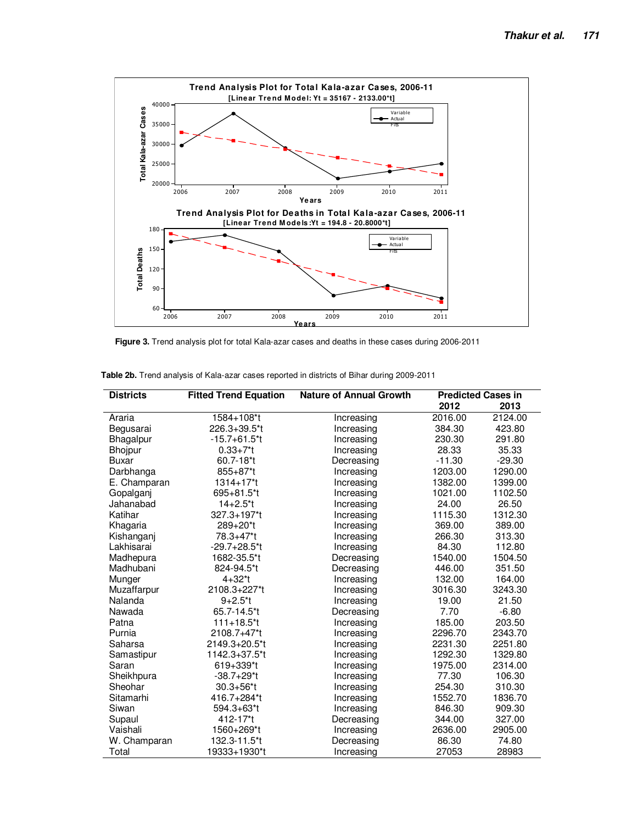

**Figure 3.** Trend analysis plot for total Kala-azar cases and deaths in these cases during 2006-2011

| <b>Districts</b> | <b>Fitted Trend Equation</b> | <b>Nature of Annual Growth</b> | <b>Predicted Cases in</b> |          |  |
|------------------|------------------------------|--------------------------------|---------------------------|----------|--|
|                  |                              |                                | 2012                      | 2013     |  |
| Araria           | 1584+108*t                   | Increasing                     | 2016.00                   | 2124.00  |  |
| Begusarai        | 226.3+39.5*t                 | Increasing                     | 384.30                    | 423.80   |  |
| Bhagalpur        | -15.7+61.5*t                 | Increasing                     | 230.30                    | 291.80   |  |
| Bhojpur          | $0.33 + 7*t$                 | Increasing                     | 28.33                     | 35.33    |  |
| <b>Buxar</b>     | 60.7-18*t                    | Decreasing                     | $-11.30$                  | $-29.30$ |  |
| Darbhanga        | 855+87*t                     | Increasing                     | 1203.00                   | 1290.00  |  |
| E. Champaran     | 1314+17*t                    | Increasing                     | 1382.00                   | 1399.00  |  |
| Gopalganj        | 695+81.5*t                   | Increasing                     | 1021.00                   | 1102.50  |  |
| Jahanabad        | $14 + 2.5$ *t                | Increasing                     | 24.00                     | 26.50    |  |
| Katihar          | 327.3+197*t                  | Increasing                     | 1115.30                   | 1312.30  |  |
| Khagaria         | 289+20*t                     | Increasing                     | 369.00                    | 389.00   |  |
| Kishanganj       | 78.3+47*t                    | Increasing                     | 266.30                    | 313.30   |  |
| Lakhisarai       | $-29.7+28.5$ <sup>*</sup> t  | Increasing                     | 84.30                     | 112.80   |  |
| Madhepura        | 1682-35.5*t                  | Decreasing                     | 1540.00                   | 1504.50  |  |
| Madhubani        | 824-94.5*t                   | Decreasing                     | 446.00                    | 351.50   |  |
| Munger           | $4 + 32$ <sup>*</sup> t      | Increasing                     | 132.00                    | 164.00   |  |
| Muzaffarpur      | 2108.3+227*t                 | Increasing                     | 3016.30                   | 3243.30  |  |
| Nalanda          | $9+2.5*t$                    | Increasing                     | 19.00                     | 21.50    |  |
| Nawada           | 65.7-14.5*t                  | Decreasing                     | 7.70                      | $-6.80$  |  |
| Patna            | $111+18.5$ <sup>*</sup> t    | Increasing                     | 185.00                    | 203.50   |  |
| Purnia           | 2108.7+47*t                  | Increasing                     | 2296.70                   | 2343.70  |  |
| Saharsa          | 2149.3+20.5*t                | Increasing                     | 2231.30                   | 2251.80  |  |
| Samastipur       | 1142.3+37.5*t                | Increasing                     | 1292.30                   | 1329.80  |  |
| Saran            | 619+339*t                    | Increasing                     | 1975.00                   | 2314.00  |  |
| Sheikhpura       | $-38.7+29$ <sup>*</sup> t    | Increasing                     | 77.30                     | 106.30   |  |
| Sheohar          | 30.3+56*t                    | Increasing                     | 254.30                    | 310.30   |  |
| Sitamarhi        | 416.7+284*t                  | Increasing                     | 1552.70                   | 1836.70  |  |
| Siwan            | 594.3+63*t                   | Increasing                     | 846.30                    | 909.30   |  |
| Supaul           | 412-17*t                     | Decreasing                     | 344.00                    | 327.00   |  |
| Vaishali         | 1560+269*t                   | Increasing                     | 2636.00                   | 2905.00  |  |
| W. Champaran     | 132.3-11.5*t                 | Decreasing                     | 86.30                     | 74.80    |  |
| Total            | 19333+1930*t                 | Increasing                     | 27053                     | 28983    |  |

| Table 2b. Trend analysis of Kala-azar cases reported in districts of Bihar during 2009-2011 |  |  |
|---------------------------------------------------------------------------------------------|--|--|
|---------------------------------------------------------------------------------------------|--|--|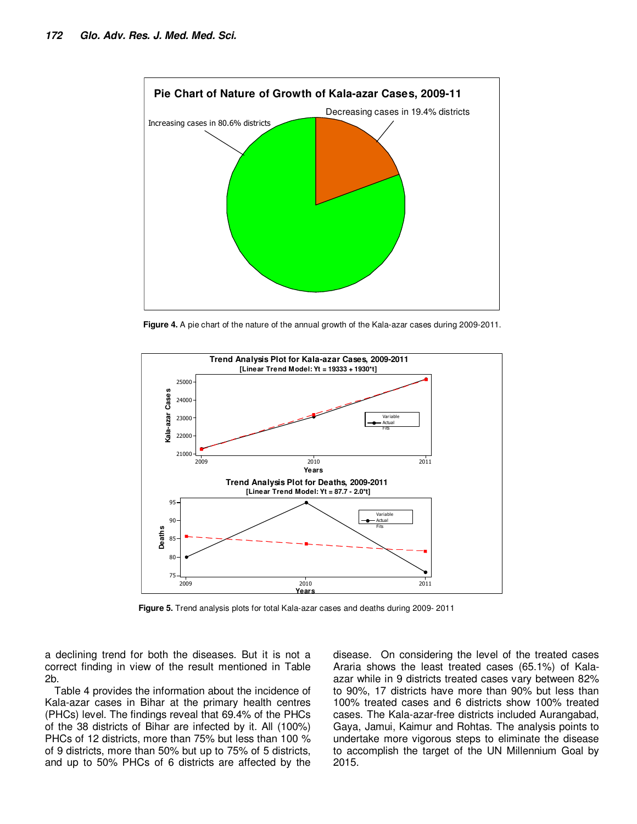

**Figure 4.** A pie chart of the nature of the annual growth of the Kala-azar cases during 2009-2011.



**Figure 5.** Trend analysis plots for total Kala-azar cases and deaths during 2009- 2011

a declining trend for both the diseases. But it is not a correct finding in view of the result mentioned in Table 2b.

Table 4 provides the information about the incidence of Kala-azar cases in Bihar at the primary health centres (PHCs) level. The findings reveal that 69.4% of the PHCs of the 38 districts of Bihar are infected by it. All (100%) PHCs of 12 districts, more than 75% but less than 100 % of 9 districts, more than 50% but up to 75% of 5 districts, and up to 50% PHCs of 6 districts are affected by the disease. On considering the level of the treated cases Araria shows the least treated cases (65.1%) of Kalaazar while in 9 districts treated cases vary between 82% to 90%, 17 districts have more than 90% but less than 100% treated cases and 6 districts show 100% treated cases. The Kala-azar-free districts included Aurangabad, Gaya, Jamui, Kaimur and Rohtas. The analysis points to undertake more vigorous steps to eliminate the disease to accomplish the target of the UN Millennium Goal by 2015.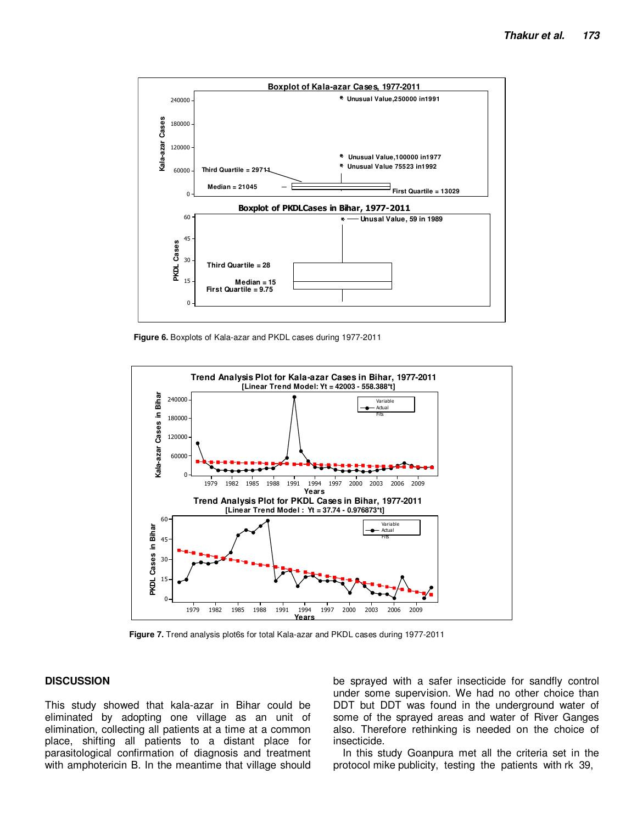

**Figure 6.** Boxplots of Kala-azar and PKDL cases during 1977-2011



**Figure 7.** Trend analysis plot6s for total Kala-azar and PKDL cases during 1977-2011

## **DISCUSSION**

This study showed that kala-azar in Bihar could be eliminated by adopting one village as an unit of elimination, collecting all patients at a time at a common place, shifting all patients to a distant place for parasitological confirmation of diagnosis and treatment with amphotericin B. In the meantime that village should be sprayed with a safer insecticide for sandfly control under some supervision. We had no other choice than DDT but DDT was found in the underground water of some of the sprayed areas and water of River Ganges also. Therefore rethinking is needed on the choice of insecticide.

In this study Goanpura met all the criteria set in the protocol mike publicity, testing the patients with rk 39,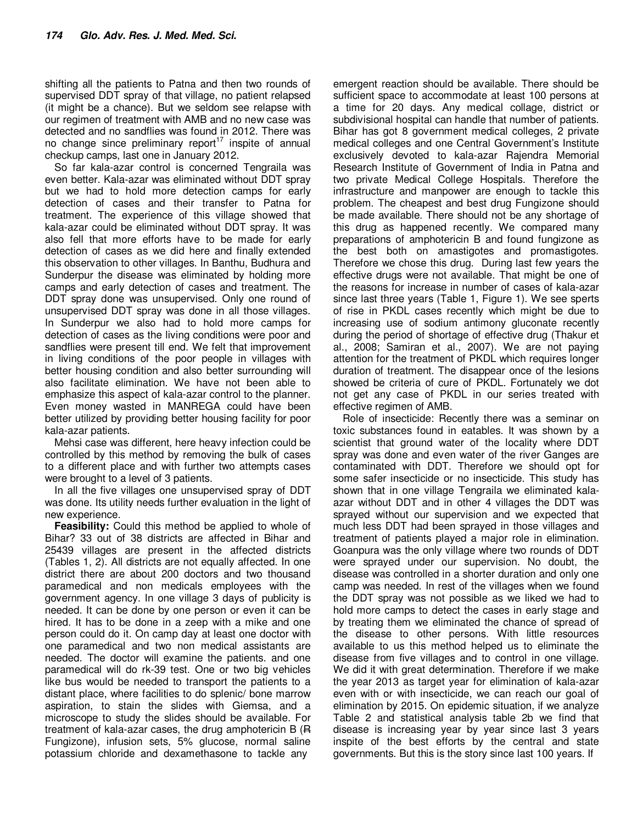shifting all the patients to Patna and then two rounds of supervised DDT spray of that village, no patient relapsed (it might be a chance). But we seldom see relapse with our regimen of treatment with AMB and no new case was detected and no sandflies was found in 2012. There was no change since preliminary report<sup>17</sup> inspite of annual checkup camps, last one in January 2012.

So far kala-azar control is concerned Tengraila was even better. Kala-azar was eliminated without DDT spray but we had to hold more detection camps for early detection of cases and their transfer to Patna for treatment. The experience of this village showed that kala-azar could be eliminated without DDT spray. It was also fell that more efforts have to be made for early detection of cases as we did here and finally extended this observation to other villages. In Banthu, Budhura and Sunderpur the disease was eliminated by holding more camps and early detection of cases and treatment. The DDT spray done was unsupervised. Only one round of unsupervised DDT spray was done in all those villages. In Sunderpur we also had to hold more camps for detection of cases as the living conditions were poor and sandflies were present till end. We felt that improvement in living conditions of the poor people in villages with better housing condition and also better surrounding will also facilitate elimination. We have not been able to emphasize this aspect of kala-azar control to the planner. Even money wasted in MANREGA could have been better utilized by providing better housing facility for poor kala-azar patients.

Mehsi case was different, here heavy infection could be controlled by this method by removing the bulk of cases to a different place and with further two attempts cases were brought to a level of 3 patients.

In all the five villages one unsupervised spray of DDT was done. Its utility needs further evaluation in the light of new experience.

**Feasibility:** Could this method be applied to whole of Bihar? 33 out of 38 districts are affected in Bihar and 25439 villages are present in the affected districts (Tables 1, 2). All districts are not equally affected. In one district there are about 200 doctors and two thousand paramedical and non medicals employees with the government agency. In one village 3 days of publicity is needed. It can be done by one person or even it can be hired. It has to be done in a zeep with a mike and one person could do it. On camp day at least one doctor with one paramedical and two non medical assistants are needed. The doctor will examine the patients. and one paramedical will do rk-39 test. One or two big vehicles like bus would be needed to transport the patients to a distant place, where facilities to do splenic/ bone marrow aspiration, to stain the slides with Giemsa, and a microscope to study the slides should be available. For treatment of kala-azar cases, the drug amphotericin B (R Fungizone), infusion sets, 5% glucose, normal saline potassium chloride and dexamethasone to tackle any

emergent reaction should be available. There should be sufficient space to accommodate at least 100 persons at a time for 20 days. Any medical collage, district or subdivisional hospital can handle that number of patients. Bihar has got 8 government medical colleges, 2 private medical colleges and one Central Government's Institute exclusively devoted to kala-azar Rajendra Memorial Research Institute of Government of India in Patna and two private Medical College Hospitals. Therefore the infrastructure and manpower are enough to tackle this problem. The cheapest and best drug Fungizone should be made available. There should not be any shortage of this drug as happened recently. We compared many preparations of amphotericin B and found fungizone as the best both on amastigotes and promastigotes. Therefore we chose this drug. During last few years the effective drugs were not available. That might be one of the reasons for increase in number of cases of kala-azar since last three years (Table 1, Figure 1). We see sperts of rise in PKDL cases recently which might be due to increasing use of sodium antimony gluconate recently during the period of shortage of effective drug (Thakur et al., 2008; Samiran et al., 2007). We are not paying attention for the treatment of PKDL which requires longer duration of treatment. The disappear once of the lesions showed be criteria of cure of PKDL. Fortunately we dot not get any case of PKDL in our series treated with effective regimen of AMB.

Role of insecticide: Recently there was a seminar on toxic substances found in eatables. It was shown by a scientist that ground water of the locality where DDT spray was done and even water of the river Ganges are contaminated with DDT. Therefore we should opt for some safer insecticide or no insecticide. This study has shown that in one village Tengraila we eliminated kalaazar without DDT and in other 4 villages the DDT was sprayed without our supervision and we expected that much less DDT had been sprayed in those villages and treatment of patients played a major role in elimination. Goanpura was the only village where two rounds of DDT were sprayed under our supervision. No doubt, the disease was controlled in a shorter duration and only one camp was needed. In rest of the villages when we found the DDT spray was not possible as we liked we had to hold more camps to detect the cases in early stage and by treating them we eliminated the chance of spread of the disease to other persons. With little resources available to us this method helped us to eliminate the disease from five villages and to control in one village. We did it with great determination. Therefore if we make the year 2013 as target year for elimination of kala-azar even with or with insecticide, we can reach our goal of elimination by 2015. On epidemic situation, if we analyze Table 2 and statistical analysis table 2b we find that disease is increasing year by year since last 3 years inspite of the best efforts by the central and state governments. But this is the story since last 100 years. If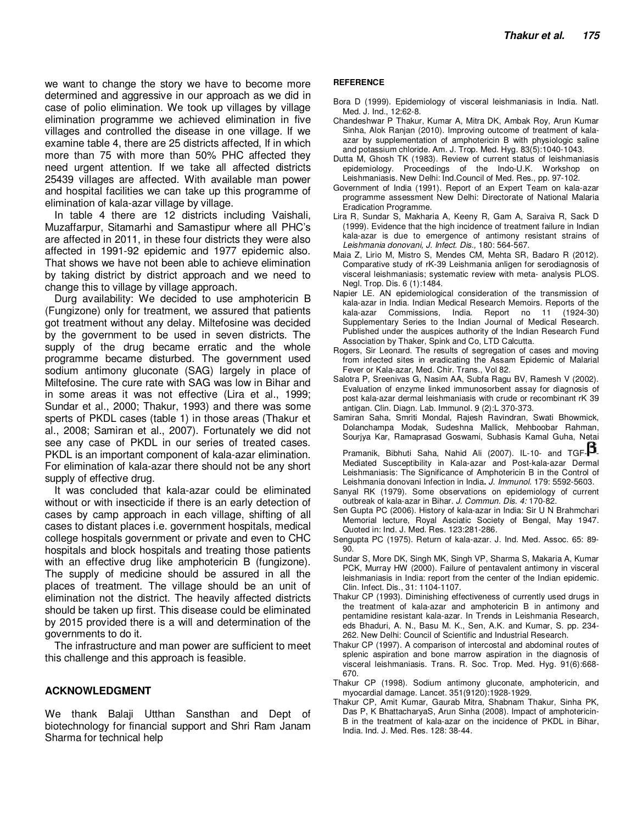we want to change the story we have to become more determined and aggressive in our approach as we did in case of polio elimination. We took up villages by village elimination programme we achieved elimination in five villages and controlled the disease in one village. If we examine table 4, there are 25 districts affected, If in which more than 75 with more than 50% PHC affected they need urgent attention. If we take all affected districts 25439 villages are affected. With available man power and hospital facilities we can take up this programme of elimination of kala-azar village by village.

In table 4 there are 12 districts including Vaishali, Muzaffarpur, Sitamarhi and Samastipur where all PHC's are affected in 2011, in these four districts they were also affected in 1991-92 epidemic and 1977 epidemic also. That shows we have not been able to achieve elimination by taking district by district approach and we need to change this to village by village approach.

Durg availability: We decided to use amphotericin B (Fungizone) only for treatment, we assured that patients got treatment without any delay. Miltefosine was decided by the government to be used in seven districts. The supply of the drug became erratic and the whole programme became disturbed. The government used sodium antimony gluconate (SAG) largely in place of Miltefosine. The cure rate with SAG was low in Bihar and in some areas it was not effective (Lira et al., 1999; Sundar et al., 2000; Thakur, 1993) and there was some sperts of PKDL cases (table 1) in those areas (Thakur et al., 2008; Samiran et al., 2007). Fortunately we did not see any case of PKDL in our series of treated cases. PKDL is an important component of kala-azar elimination. For elimination of kala-azar there should not be any short supply of effective drug.

It was concluded that kala-azar could be eliminated without or with insecticide if there is an early detection of cases by camp approach in each village, shifting of all cases to distant places i.e. government hospitals, medical college hospitals government or private and even to CHC hospitals and block hospitals and treating those patients with an effective drug like amphotericin B (fungizone). The supply of medicine should be assured in all the places of treatment. The village should be an unit of elimination not the district. The heavily affected districts should be taken up first. This disease could be eliminated by 2015 provided there is a will and determination of the governments to do it.

The infrastructure and man power are sufficient to meet this challenge and this approach is feasible.

### **ACKNOWLEDGMENT**

We thank Balaji Utthan Sansthan and Dept of biotechnology for financial support and Shri Ram Janam Sharma for technical help

#### **REFERENCE**

- Bora D (1999). Epidemiology of visceral leishmaniasis in India. Natl. Med. J. Ind., 12:62-8.
- Chandeshwar P Thakur, Kumar A, Mitra DK, Ambak Roy, Arun Kumar Sinha, Alok Ranjan (2010). Improving outcome of treatment of kalaazar by supplementation of amphotericin B with physiologic saline and potassium chloride. Am. J. Trop. Med. Hyg. 83(5):1040-1043.
- Dutta M, Ghosh TK (1983). Review of current status of leishmaniasis epidemiology. Proceedings of the Indo-U.K. Workshop on Leishmaniasis. New Delhi: Ind.Council of Med. Res., pp. 97-102.
- Government of India (1991). Report of an Expert Team on kala-azar programme assessment New Delhi: Directorate of National Malaria Eradication Programme.
- Lira R, Sundar S, Makharia A, Keeny R, Gam A, Saraiva R, Sack D (1999). Evidence that the high incidence of treatment failure in Indian kala-azar is due to emergence of antimony resistant strains of *Leishmania donovani, J. Infect. Dis.,* 180: 564-567.
- Maia Z, Lirio M, Mistro S, Mendes CM, Mehta SR, Badaro R (2012). Comparative study of rK-39 Leishmania anligen for serodiagnosis of visceral leishmaniasis; systematic review with meta- analysis PLOS. Negl. Trop. Dis. 6 (1):1484.
- Napier LE. AN epidemiological consideration of the transmission of kala-azar in India. Indian Medical Research Memoirs. Reports of the kala-azar Commissions, India. Report no 11 (1924-30) Supplementary Series to the Indian Journal of Medical Research. Published under the auspices authority of the Indian Research Fund Association by Thaker, Spink and Co, LTD Calcutta.
- Rogers, Sir Leonard. The results of segregation of cases and moving from infected sites in eradicating the Assam Epidemic of Malarial Fever or Kala-azar, Med. Chir. Trans., Vol 82.
- Salotra P, Sreenivas G, Nasim AA, Subfa Ragu BV, Ramesh V (2002). Evaluation of enzyme linked immunosorbent assay for diagnosis of post kala-azar dermal leishmaniasis with crude or recombinant rK 39 antigan. Clin. Diagn. Lab. Immunol. 9 (2):L 370-373.
- Samiran Saha, Smriti Mondal, Rajesh Ravindran, Swati Bhowmick, Dolanchampa Modak, Sudeshna Mallick, Mehboobar Rahman, Sourjya Kar, Ramaprasad Goswami, Subhasis Kamal Guha, Netai

Pramanik, Bibhuti Saha, Nahid Ali (2007). IL-10- and  $TGF - \mathbf{5}$ Mediated Susceptibility in Kala-azar and Post-kala-azar Dermal Leishmaniasis: The Significance of Amphotericin B in the Control of Leishmania donovani Infection in India**.** *J. Immunol.* 179: 5592-5603.

- Sanyal RK (1979). Some observations on epidemiology of current outbreak of kala-azar in Bihar. *J. Commun. Dis. 4:* 170-82.
- Sen Gupta PC (2006). History of kala-azar in India: Sir U N Brahmchari Memorial lecture, Royal Asciatic Society of Bengal, May 1947. Quoted in: Ind. J. Med. Res. 123:281-286.
- Sengupta PC (1975). Return of kala-azar. J. Ind. Med. Assoc. 65: 89- 90.
- Sundar S, More DK, Singh MK, Singh VP, Sharma S, Makaria A, Kumar PCK, Murray HW (2000). Failure of pentavalent antimony in visceral leishmaniasis in India: report from the center of the Indian epidemic. Clin. Infect. Dis., 31: 1104-1107.
- Thakur CP (1993). Diminishing effectiveness of currently used drugs in the treatment of kala-azar and amphotericin B in antimony and pentamidine resistant kala-azar. In Trends in Leishmania Research, eds Bhaduri, A. N., Basu M. K., Sen, A.K. and Kumar, S. pp. 234- 262. New Delhi: Council of Scientific and Industrial Research.
- Thakur CP (1997). A comparison of intercostal and abdominal routes of splenic aspiration and bone marrow aspiration in the diagnosis of visceral leishmaniasis. Trans. R. Soc. Trop. Med. Hyg. 91(6):668- 670.
- Thakur CP (1998). Sodium antimony gluconate, amphotericin, and myocardial damage. Lancet. 351(9120):1928-1929.
- Thakur CP, Amit Kumar, Gaurab Mitra, Shabnam Thakur, Sinha PK, Das P, K BhattacharyaS, Arun Sinha (2008). Impact of amphotericin-B in the treatment of kala-azar on the incidence of PKDL in Bihar, India. Ind. J. Med. Res. 128: 38-44.